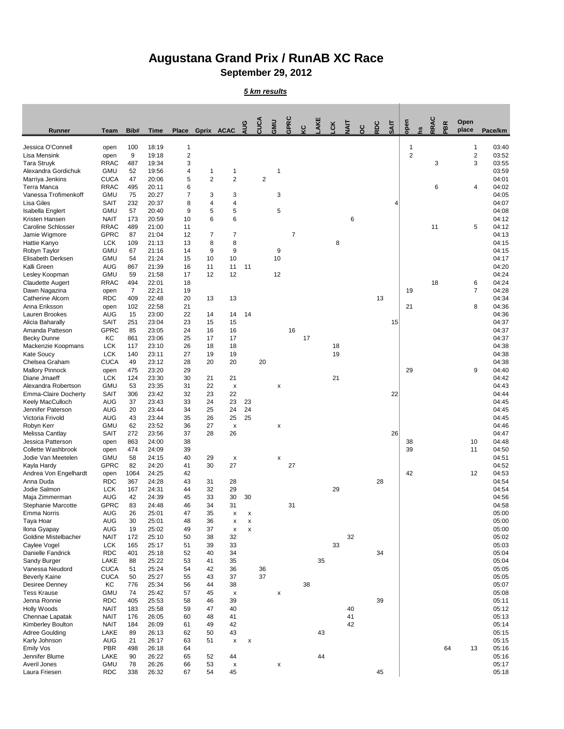## **Augustana Grand Prix / RunAB XC Race September 29, 2012**

## *5 km results*

| <b>Runner</b>                              | <b>Team</b>                | Bib#           | <b>Time</b>    | <b>Place</b>        | Gprix ACAC     |                           | AUG | CUCA           | GMU                | GPRC           | ပ္င | AKE | čK | ΞIΜ      | ပ္ပ | RDC | SAIT | open           | RRAC | PBR | Open<br>place  | Pace/km        |
|--------------------------------------------|----------------------------|----------------|----------------|---------------------|----------------|---------------------------|-----|----------------|--------------------|----------------|-----|-----|----|----------|-----|-----|------|----------------|------|-----|----------------|----------------|
| Jessica O'Connell                          | open                       | 100            | 18:19          | -1                  |                |                           |     |                |                    |                |     |     |    |          |     |     |      | 1              |      |     | 1              | 03:40          |
| Lisa Mensink                               | open                       | 9              | 19:18          | $\mathbf{2}$        |                |                           |     |                |                    |                |     |     |    |          |     |     |      | $\overline{2}$ |      |     | $\overline{2}$ | 03:52          |
| <b>Tara Struyk</b>                         | <b>RRAC</b>                | 487            | 19:34          | 3                   |                |                           |     |                |                    |                |     |     |    |          |     |     |      |                | 3    |     | 3              | 03:55          |
| Alexandra Gordichuk                        | <b>GMU</b>                 | 52             | 19:56          | 4                   |                | 1                         |     |                |                    |                |     |     |    |          |     |     |      |                |      |     |                | 03:59          |
| Marriya Jenkins<br>Terra Manca             | <b>CUCA</b><br><b>RRAC</b> | 47<br>495      | 20:06<br>20:11 | 5                   | $\overline{2}$ | $\overline{2}$            |     | $\overline{2}$ |                    |                |     |     |    |          |     |     |      |                | 6    |     |                | 04:01<br>04:02 |
| Vanessa Trofimenkoff                       | <b>GMU</b>                 | 75             | 20:27          | 6<br>$\overline{7}$ | 3              | 3                         |     |                | $\mathfrak{B}$     |                |     |     |    |          |     |     |      |                |      |     | 4              | 04:05          |
| Lisa Giles                                 | <b>SAIT</b>                | 232            | 20:37          | 8                   | 4              | 4                         |     |                |                    |                |     |     |    |          |     |     | 4    |                |      |     |                | 04:07          |
| Isabella Englert                           | <b>GMU</b>                 | 57             | 20:40          | 9                   | 5              | 5                         |     |                | $\sqrt{5}$         |                |     |     |    |          |     |     |      |                |      |     |                | 04:08          |
| Kristen Hansen                             | <b>NAIT</b>                | 173            | 20:59          | 10                  | 6              | 6                         |     |                |                    |                |     |     |    | $\,6$    |     |     |      |                |      |     |                | 04:12          |
| <b>Caroline Schlosser</b>                  | <b>RRAC</b>                | 489            | 21:00          | 11                  |                |                           |     |                |                    |                |     |     |    |          |     |     |      |                | 11   |     | 5              | 04:12          |
| Jamie Wigmore                              | <b>GPRC</b>                | 87             | 21:04          | 12                  | 7              | $\overline{7}$            |     |                |                    | $\overline{7}$ |     |     |    |          |     |     |      |                |      |     |                | 04:13          |
| Hattie Kanyo<br>Robyn Taylor               | <b>LCK</b><br><b>GMU</b>   | 109<br>67      | 21:13<br>21:16 | 13<br>14            | 8<br>9         | 8<br>$\boldsymbol{9}$     |     |                | 9                  |                |     |     | 8  |          |     |     |      |                |      |     |                | 04:15<br>04:15 |
| Elisabeth Derksen                          | <b>GMU</b>                 | 54             | 21:24          | 15                  | 10             | 10                        |     |                | 10                 |                |     |     |    |          |     |     |      |                |      |     |                | 04:17          |
| Kalli Green                                | <b>AUG</b>                 | 867            | 21:39          | 16                  | 11             | 11                        | 11  |                |                    |                |     |     |    |          |     |     |      |                |      |     |                | 04:20          |
| Lesley Koopman                             | <b>GMU</b>                 | 59             | 21:58          | 17                  | 12             | 12                        |     |                | 12                 |                |     |     |    |          |     |     |      |                |      |     |                | 04:24          |
| <b>Claudette Augert</b>                    | <b>RRAC</b>                | 494            | 22:01          | 18                  |                |                           |     |                |                    |                |     |     |    |          |     |     |      |                | 18   |     | 6              | 04:24          |
| Dawn Nagazina                              | open                       | $\overline{7}$ | 22:21          | 19                  |                |                           |     |                |                    |                |     |     |    |          |     |     |      | 19             |      |     | $\overline{7}$ | 04:28          |
| <b>Catherine Alcorn</b>                    | <b>RDC</b>                 | 409            | 22:48          | 20                  | 13             | 13                        |     |                |                    |                |     |     |    |          |     | 13  |      |                |      |     |                | 04:34          |
| Anna Eriksson<br>Lauren Brookes            | open<br><b>AUG</b>         | 102<br>15      | 22:58<br>23:00 | 21<br>22            | 14             | 14                        | 14  |                |                    |                |     |     |    |          |     |     |      | 21             |      |     | 8              | 04:36<br>04:36 |
| Alicia Baharally                           | <b>SAIT</b>                | 251            | 23:04          | 23                  | 15             | 15                        |     |                |                    |                |     |     |    |          |     |     | 15   |                |      |     |                | 04:37          |
| Amanda Patteson                            | <b>GPRC</b>                | 85             | 23:05          | 24                  | 16             | 16                        |     |                |                    | 16             |     |     |    |          |     |     |      |                |      |     |                | 04:37          |
| <b>Becky Dunne</b>                         | KC                         | 861            | 23:06          | 25                  | 17             | 17                        |     |                |                    |                | 17  |     |    |          |     |     |      |                |      |     |                | 04:37          |
| Mackenzie Koopmans                         | <b>LCK</b>                 | 117            | 23:10          | 26                  | 18             | 18                        |     |                |                    |                |     |     | 18 |          |     |     |      |                |      |     |                | 04:38          |
| <b>Kate Soucy</b>                          | <b>LCK</b>                 | 140            | 23:11          | 27                  | 19             | 19                        |     |                |                    |                |     |     | 19 |          |     |     |      |                |      |     |                | 04:38          |
| Chelsea Graham                             | <b>CUCA</b>                | 49             | 23:12          | 28                  | 20             | 20                        |     | 20             |                    |                |     |     |    |          |     |     |      |                |      |     |                | 04:38          |
| <b>Mallory Pinnock</b><br>Diane Jmaeff     | open<br><b>LCK</b>         | 475<br>124     | 23:20<br>23:30 | 29<br>30            | 21             | 21                        |     |                |                    |                |     |     | 21 |          |     |     |      | 29             |      |     | 9              | 04:40<br>04:42 |
| Alexandra Robertson                        | <b>GMU</b>                 | 53             | 23:35          | 31                  | 22             | X                         |     |                | X                  |                |     |     |    |          |     |     |      |                |      |     |                | 04:43          |
| <b>Emma-Claire Docherty</b>                | <b>SAIT</b>                | 306            | 23:42          | 32                  | 23             | 22                        |     |                |                    |                |     |     |    |          |     |     | 22   |                |      |     |                | 04:44          |
| Keely MacCulloch                           | <b>AUG</b>                 | 37             | 23:43          | 33                  | 24             | 23                        | 23  |                |                    |                |     |     |    |          |     |     |      |                |      |     |                | 04:45          |
| Jennifer Paterson                          | <b>AUG</b>                 | 20             | 23:44          | 34                  | 25             | 24                        | 24  |                |                    |                |     |     |    |          |     |     |      |                |      |     |                | 04:45          |
| Victoria Frivold                           | <b>AUG</b>                 | 43             | 23:44          | 35                  | 26             | 25                        | 25  |                |                    |                |     |     |    |          |     |     |      |                |      |     |                | 04:45          |
| Robyn Kerr                                 | <b>GMU</b>                 | 62             | 23:52          | 36                  | 27             | $\boldsymbol{\mathsf{x}}$ |     |                | X                  |                |     |     |    |          |     |     |      |                |      |     |                | 04:46          |
| Melissa Cantlay<br>Jessica Patterson       | <b>SAIT</b>                | 272<br>863     | 23:56<br>24:00 | 37<br>38            | 28             | 26                        |     |                |                    |                |     |     |    |          |     |     | 26   | 38             |      |     | 10             | 04:47<br>04:48 |
| <b>Collette Washbrook</b>                  | open<br>open               | 474            | 24:09          | 39                  |                |                           |     |                |                    |                |     |     |    |          |     |     |      | 39             |      |     | 11             | 04:50          |
| Jodie Van Meetelen                         | <b>GMU</b>                 | 58             | 24:15          | 40                  | 29             | X                         |     |                | X                  |                |     |     |    |          |     |     |      |                |      |     |                | 04:51          |
| Kayla Hardy                                | <b>GPRC</b>                | 82             | 24:20          | 41                  | 30             | 27                        |     |                |                    | 27             |     |     |    |          |     |     |      |                |      |     |                | 04:52          |
| Andrea Von Engelhardt                      | open                       | 1064           | 24:25          | 42                  |                |                           |     |                |                    |                |     |     |    |          |     |     |      | 42             |      |     | 12             | 04:53          |
| Anna Duda                                  | <b>RDC</b>                 | 367            | 24:28          | 43                  | 31             | 28                        |     |                |                    |                |     |     |    |          |     | 28  |      |                |      |     |                | 04:54          |
| Jodie Salmon                               | <b>LCK</b>                 | 167            | 24:31          | 44                  | 32             | 29<br>30                  |     |                |                    |                |     |     | 29 |          |     |     |      |                |      |     |                | 04:54          |
| Maja Zimmerman<br>Stephanie Marcotte       | <b>AUG</b><br><b>GPRC</b>  | 42<br>83       | 24:39<br>24:48 | 45<br>46            | 33<br>34       | 31                        | 30  |                |                    | 31             |     |     |    |          |     |     |      |                |      |     |                | 04:56<br>04:58 |
| <b>Emma Norris</b>                         | <b>AUG</b>                 | 26             | 25:01          | 47                  | 35             | X                         | X   |                |                    |                |     |     |    |          |     |     |      |                |      |     |                | 05:00          |
| Taya Hoar                                  | <b>AUG</b>                 | 30             | 25:01          | 48                  | 36             | X                         | X   |                |                    |                |     |     |    |          |     |     |      |                |      |     |                | 05:00          |
| Ilona Gyapay                               | <b>AUG</b>                 | 19             | 25:02          | 49                  | 37             | $\boldsymbol{\mathsf{X}}$ | X   |                |                    |                |     |     |    |          |     |     |      |                |      |     |                | 05:00          |
| <b>Goldine Mistelbacher</b>                | <b>NAIT</b>                | 172            | 25:10          | 50                  | 38             | 32                        |     |                |                    |                |     |     |    | 32       |     |     |      |                |      |     |                | 05:02          |
| Caylee Vogel                               | <b>LCK</b>                 | 165            | 25:17          | 51                  | 39             | 33                        |     |                |                    |                |     |     | 33 |          |     |     |      |                |      |     |                | 05:03          |
| Danielle Fandrick                          | <b>RDC</b><br>LAKE         | 401<br>88      | 25:18<br>25:22 | 52<br>53            | 40             | 34                        |     |                |                    |                |     | 35  |    |          |     | 34  |      |                |      |     |                | 05:04<br>05:04 |
| Sandy Burger<br>Vanessa Neudord            | <b>CUCA</b>                | 51             | 25:24          | 54                  | 41<br>42       | 35<br>36                  |     | 36             |                    |                |     |     |    |          |     |     |      |                |      |     |                | 05:05          |
| <b>Beverly Kaine</b>                       | <b>CUCA</b>                | 50             | 25:27          | 55                  | 43             | 37                        |     | 37             |                    |                |     |     |    |          |     |     |      |                |      |     |                | 05:05          |
| <b>Desiree Denney</b>                      | KC                         | 776            | 25:34          | 56                  | 44             | 38                        |     |                |                    |                | 38  |     |    |          |     |     |      |                |      |     |                | 05:07          |
| <b>Tess Krause</b>                         | <b>GMU</b>                 | 74             | 25:42          | 57                  | 45             | $\boldsymbol{\mathsf{x}}$ |     |                | X                  |                |     |     |    |          |     |     |      |                |      |     |                | 05:08          |
| Jenna Ronnie                               | <b>RDC</b>                 | 405            | 25:53          | 58                  | 46             | 39                        |     |                |                    |                |     |     |    |          |     | 39  |      |                |      |     |                | 05:11          |
| Holly Woods                                | <b>NAIT</b>                | 183            | 25:58          | 59                  | 47             | 40                        |     |                |                    |                |     |     |    | 40       |     |     |      |                |      |     |                | 05:12          |
| Chennae Lapatak                            | <b>NAIT</b>                | 176            | 26:05          | 60                  | 48             | 41                        |     |                |                    |                |     |     |    | 41<br>42 |     |     |      |                |      |     |                | 05:13          |
| Kimberley Boulton<br><b>Adree Goulding</b> | <b>NAIT</b><br>LAKE        | 184<br>89      | 26:09<br>26:13 | 61<br>62            | 49<br>50       | 42<br>43                  |     |                |                    |                |     | 43  |    |          |     |     |      |                |      |     |                | 05:14<br>05:15 |
| Karly Johnson                              | <b>AUG</b>                 | 21             | 26:17          | 63                  | 51             | X                         | X   |                |                    |                |     |     |    |          |     |     |      |                |      |     |                | 05:15          |
| <b>Emily Vos</b>                           | <b>PBR</b>                 | 498            | 26:18          | 64                  |                |                           |     |                |                    |                |     |     |    |          |     |     |      |                |      | 64  | 13             | 05:16          |
| Jennifer Blume                             | LAKE                       | 90             | 26:22          | 65                  | 52             | 44                        |     |                |                    |                |     | 44  |    |          |     |     |      |                |      |     |                | 05:16          |
| Averil Jones                               | <b>GMU</b>                 | 78             | 26:26          | 66                  | 53             | X                         |     |                | $\pmb{\mathsf{X}}$ |                |     |     |    |          |     |     |      |                |      |     |                | 05:17          |
| Laura Friesen                              | <b>RDC</b>                 | 338            | 26:32          | 67                  | 54             | 45                        |     |                |                    |                |     |     |    |          |     | 45  |      |                |      |     |                | 05:18          |